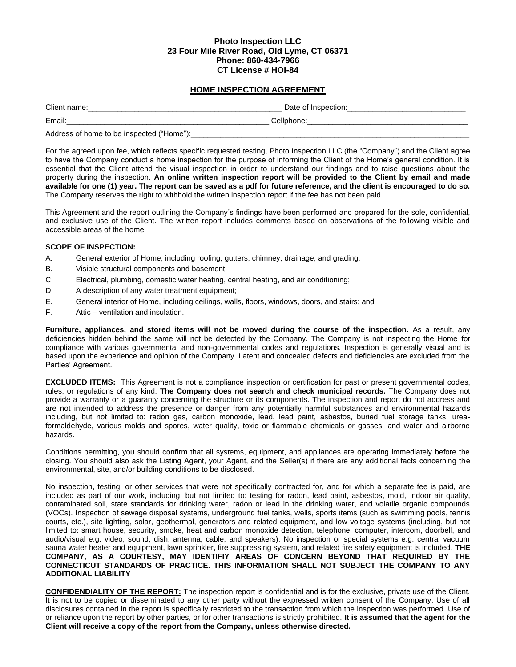## **Photo Inspection LLC 23 Four Mile River Road, Old Lyme, CT 06371 Phone: 860-434-7966 CT License # HOI-84**

# **HOME INSPECTION AGREEMENT**

| Client name:                              | Date of Inspection: |  |  |  |
|-------------------------------------------|---------------------|--|--|--|
| Email:                                    | Cellphone:          |  |  |  |
| Address of home to be inspected ("Home"): |                     |  |  |  |

For the agreed upon fee, which reflects specific requested testing, Photo Inspection LLC (the "Company") and the Client agree to have the Company conduct a home inspection for the purpose of informing the Client of the Home's general condition. It is essential that the Client attend the visual inspection in order to understand our findings and to raise questions about the property during the inspection. **An online written inspection report will be provided to the Client by email and made available for one (1) year. The report can be saved as a pdf for future reference, and the client is encouraged to do so.** The Company reserves the right to withhold the written inspection report if the fee has not been paid.

This Agreement and the report outlining the Company's findings have been performed and prepared for the sole, confidential, and exclusive use of the Client. The written report includes comments based on observations of the following visible and accessible areas of the home:

## **SCOPE OF INSPECTION:**

- A. General exterior of Home, including roofing, gutters, chimney, drainage, and grading;
- B. Visible structural components and basement;
- C. Electrical, plumbing, domestic water heating, central heating, and air conditioning;
- D. A description of any water treatment equipment;
- E. General interior of Home, including ceilings, walls, floors, windows, doors, and stairs; and
- F. Attic ventilation and insulation.

**Furniture, appliances, and stored items will not be moved during the course of the inspection.** As a result, any deficiencies hidden behind the same will not be detected by the Company. The Company is not inspecting the Home for compliance with various governmental and non-governmental codes and regulations. Inspection is generally visual and is based upon the experience and opinion of the Company. Latent and concealed defects and deficiencies are excluded from the Parties' Agreement.

**EXCLUDED ITEMS:** This Agreement is not a compliance inspection or certification for past or present governmental codes, rules, or regulations of any kind. **The Company does not search and check municipal records.** The Company does not provide a warranty or a guaranty concerning the structure or its components. The inspection and report do not address and are not intended to address the presence or danger from any potentially harmful substances and environmental hazards including, but not limited to: radon gas, carbon monoxide, lead, lead paint, asbestos, buried fuel storage tanks, ureaformaldehyde, various molds and spores, water quality, toxic or flammable chemicals or gasses, and water and airborne hazards.

Conditions permitting, you should confirm that all systems, equipment, and appliances are operating immediately before the closing. You should also ask the Listing Agent, your Agent, and the Seller(s) if there are any additional facts concerning the environmental, site, and/or building conditions to be disclosed.

No inspection, testing, or other services that were not specifically contracted for, and for which a separate fee is paid, are included as part of our work, including, but not limited to: testing for radon, lead paint, asbestos, mold, indoor air quality, contaminated soil, state standards for drinking water, radon or lead in the drinking water, and volatile organic compounds (VOCs). Inspection of sewage disposal systems, underground fuel tanks, wells, sports items (such as swimming pools, tennis courts, etc.), site lighting, solar, geothermal, generators and related equipment, and low voltage systems (including, but not limited to: smart house, security, smoke, heat and carbon monoxide detection, telephone, computer, intercom, doorbell, and audio/visual e.g. video, sound, dish, antenna, cable, and speakers). No inspection or special systems e.g. central vacuum sauna water heater and equipment, lawn sprinkler, fire suppressing system, and related fire safety equipment is included. **THE COMPANY, AS A COURTESY, MAY IDENTIFIY AREAS OF CONCERN BEYOND THAT REQUIRED BY THE CONNECTICUT STANDARDS OF PRACTICE. THIS INFORMATION SHALL NOT SUBJECT THE COMPANY TO ANY ADDITIONAL LIABILITY**

**CONFIDENDIALITY OF THE REPORT:** The inspection report is confidential and is for the exclusive, private use of the Client. It is not to be copied or disseminated to any other party without the expressed written consent of the Company. Use of all disclosures contained in the report is specifically restricted to the transaction from which the inspection was performed. Use of or reliance upon the report by other parties, or for other transactions is strictly prohibited. **It is assumed that the agent for the Client will receive a copy of the report from the Company, unless otherwise directed.**